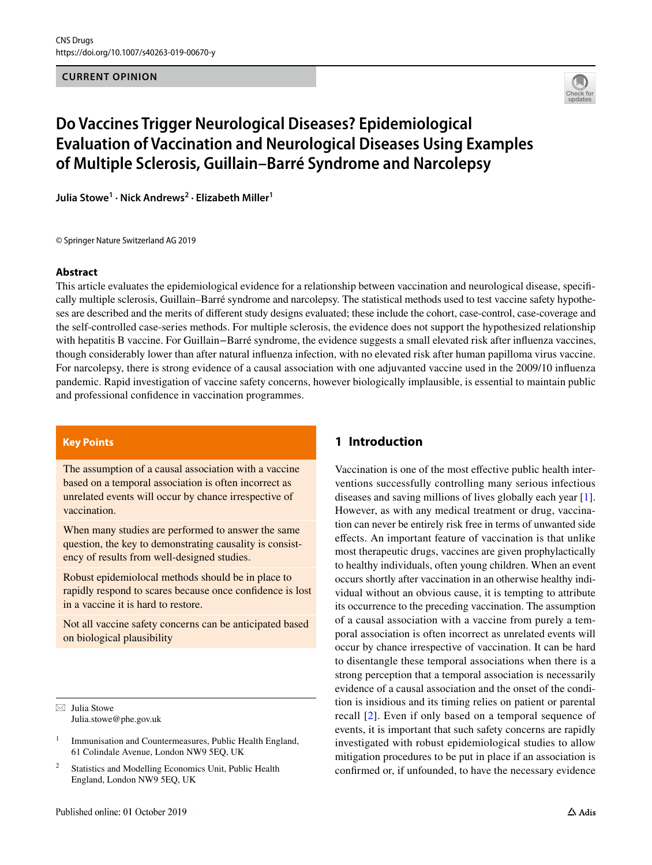**CURRENT OPINION**



# **Do Vaccines Trigger Neurological Diseases? Epidemiological Evaluation of Vaccination and Neurological Diseases Using Examples of Multiple Sclerosis, Guillain–Barré Syndrome and Narcolepsy**

**Julia Stowe1 · Nick Andrews2 · Elizabeth Miller1**

© Springer Nature Switzerland AG 2019

#### **Abstract**

This article evaluates the epidemiological evidence for a relationship between vaccination and neurological disease, specifcally multiple sclerosis, Guillain–Barré syndrome and narcolepsy. The statistical methods used to test vaccine safety hypotheses are described and the merits of diferent study designs evaluated; these include the cohort, case-control, case-coverage and the self-controlled case-series methods. For multiple sclerosis, the evidence does not support the hypothesized relationship with hepatitis B vaccine. For Guillain−Barré syndrome, the evidence suggests a small elevated risk after infuenza vaccines, though considerably lower than after natural infuenza infection, with no elevated risk after human papilloma virus vaccine. For narcolepsy, there is strong evidence of a causal association with one adjuvanted vaccine used in the 2009/10 infuenza pandemic. Rapid investigation of vaccine safety concerns, however biologically implausible, is essential to maintain public and professional confdence in vaccination programmes.

### **Key Points**

The assumption of a causal association with a vaccine based on a temporal association is often incorrect as unrelated events will occur by chance irrespective of vaccination.

When many studies are performed to answer the same question, the key to demonstrating causality is consistency of results from well-designed studies.

Robust epidemiolocal methods should be in place to rapidly respond to scares because once confdence is lost in a vaccine it is hard to restore.

Not all vaccine safety concerns can be anticipated based on biological plausibility

 $\boxtimes$  Julia Stowe Julia.stowe@phe.gov.uk

# **1 Introduction**

Vaccination is one of the most efective public health interventions successfully controlling many serious infectious diseases and saving millions of lives globally each year [\[1](#page-6-0)]. However, as with any medical treatment or drug, vaccination can never be entirely risk free in terms of unwanted side efects. An important feature of vaccination is that unlike most therapeutic drugs, vaccines are given prophylactically to healthy individuals, often young children. When an event occurs shortly after vaccination in an otherwise healthy individual without an obvious cause, it is tempting to attribute its occurrence to the preceding vaccination. The assumption of a causal association with a vaccine from purely a temporal association is often incorrect as unrelated events will occur by chance irrespective of vaccination. It can be hard to disentangle these temporal associations when there is a strong perception that a temporal association is necessarily evidence of a causal association and the onset of the condition is insidious and its timing relies on patient or parental recall [[2](#page-6-1)]. Even if only based on a temporal sequence of events, it is important that such safety concerns are rapidly investigated with robust epidemiological studies to allow mitigation procedures to be put in place if an association is confrmed or, if unfounded, to have the necessary evidence

<sup>&</sup>lt;sup>1</sup> Immunisation and Countermeasures, Public Health England, 61 Colindale Avenue, London NW9 5EQ, UK

<sup>&</sup>lt;sup>2</sup> Statistics and Modelling Economics Unit, Public Health England, London NW9 5EQ, UK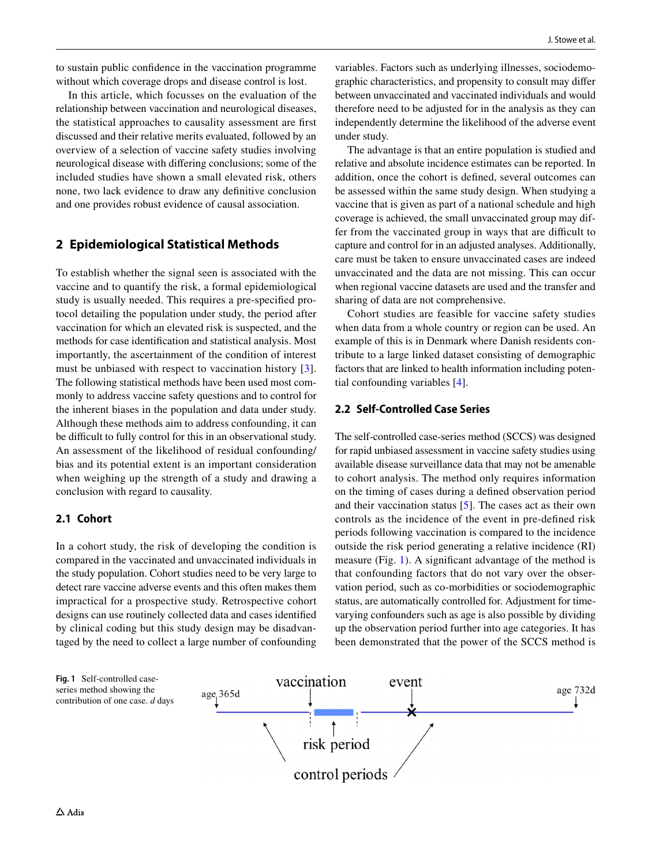to sustain public confdence in the vaccination programme without which coverage drops and disease control is lost.

In this article, which focusses on the evaluation of the relationship between vaccination and neurological diseases, the statistical approaches to causality assessment are frst discussed and their relative merits evaluated, followed by an overview of a selection of vaccine safety studies involving neurological disease with difering conclusions; some of the included studies have shown a small elevated risk, others none, two lack evidence to draw any defnitive conclusion and one provides robust evidence of causal association.

# **2 Epidemiological Statistical Methods**

To establish whether the signal seen is associated with the vaccine and to quantify the risk, a formal epidemiological study is usually needed. This requires a pre-specifed protocol detailing the population under study, the period after vaccination for which an elevated risk is suspected, and the methods for case identifcation and statistical analysis. Most importantly, the ascertainment of the condition of interest must be unbiased with respect to vaccination history [[3](#page-6-2)]. The following statistical methods have been used most commonly to address vaccine safety questions and to control for the inherent biases in the population and data under study. Although these methods aim to address confounding, it can be difficult to fully control for this in an observational study. An assessment of the likelihood of residual confounding/ bias and its potential extent is an important consideration when weighing up the strength of a study and drawing a conclusion with regard to causality.

### **2.1 Cohort**

In a cohort study, the risk of developing the condition is compared in the vaccinated and unvaccinated individuals in the study population. Cohort studies need to be very large to detect rare vaccine adverse events and this often makes them impractical for a prospective study. Retrospective cohort designs can use routinely collected data and cases identifed by clinical coding but this study design may be disadvantaged by the need to collect a large number of confounding

variables. Factors such as underlying illnesses, sociodemographic characteristics, and propensity to consult may difer between unvaccinated and vaccinated individuals and would therefore need to be adjusted for in the analysis as they can independently determine the likelihood of the adverse event under study.

The advantage is that an entire population is studied and relative and absolute incidence estimates can be reported. In addition, once the cohort is defned, several outcomes can be assessed within the same study design. When studying a vaccine that is given as part of a national schedule and high coverage is achieved, the small unvaccinated group may differ from the vaccinated group in ways that are difficult to capture and control for in an adjusted analyses. Additionally, care must be taken to ensure unvaccinated cases are indeed unvaccinated and the data are not missing. This can occur when regional vaccine datasets are used and the transfer and sharing of data are not comprehensive.

Cohort studies are feasible for vaccine safety studies when data from a whole country or region can be used. An example of this is in Denmark where Danish residents contribute to a large linked dataset consisting of demographic factors that are linked to health information including potential confounding variables [\[4](#page-6-3)].

#### **2.2 Self‑Controlled Case Series**

The self-controlled case-series method (SCCS) was designed for rapid unbiased assessment in vaccine safety studies using available disease surveillance data that may not be amenable to cohort analysis. The method only requires information on the timing of cases during a defned observation period and their vaccination status [\[5\]](#page-6-4). The cases act as their own controls as the incidence of the event in pre-defned risk periods following vaccination is compared to the incidence outside the risk period generating a relative incidence (RI) measure (Fig. [1](#page-1-0)). A significant advantage of the method is that confounding factors that do not vary over the observation period, such as co-morbidities or sociodemographic status, are automatically controlled for. Adjustment for timevarying confounders such as age is also possible by dividing up the observation period further into age categories. It has been demonstrated that the power of the SCCS method is

<span id="page-1-0"></span>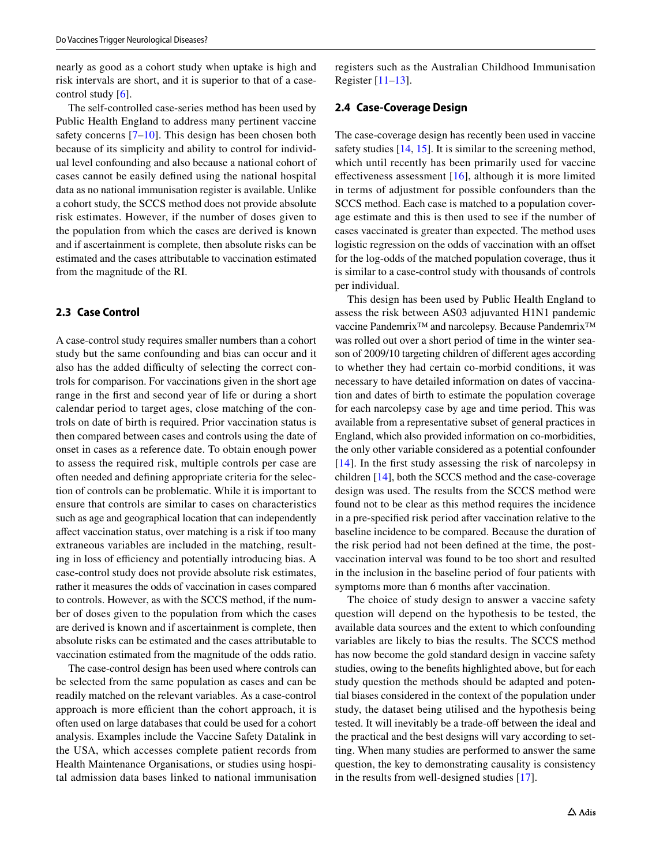nearly as good as a cohort study when uptake is high and risk intervals are short, and it is superior to that of a casecontrol study [[6\]](#page-6-5).

The self-controlled case-series method has been used by Public Health England to address many pertinent vaccine safety concerns  $[7-10]$  $[7-10]$  $[7-10]$ . This design has been chosen both because of its simplicity and ability to control for individual level confounding and also because a national cohort of cases cannot be easily defned using the national hospital data as no national immunisation register is available. Unlike a cohort study, the SCCS method does not provide absolute risk estimates. However, if the number of doses given to the population from which the cases are derived is known and if ascertainment is complete, then absolute risks can be estimated and the cases attributable to vaccination estimated from the magnitude of the RI.

#### **2.3 Case Control**

A case-control study requires smaller numbers than a cohort study but the same confounding and bias can occur and it also has the added difficulty of selecting the correct controls for comparison. For vaccinations given in the short age range in the frst and second year of life or during a short calendar period to target ages, close matching of the controls on date of birth is required. Prior vaccination status is then compared between cases and controls using the date of onset in cases as a reference date. To obtain enough power to assess the required risk, multiple controls per case are often needed and defning appropriate criteria for the selection of controls can be problematic. While it is important to ensure that controls are similar to cases on characteristics such as age and geographical location that can independently afect vaccination status, over matching is a risk if too many extraneous variables are included in the matching, resulting in loss of efficiency and potentially introducing bias. A case-control study does not provide absolute risk estimates, rather it measures the odds of vaccination in cases compared to controls. However, as with the SCCS method, if the number of doses given to the population from which the cases are derived is known and if ascertainment is complete, then absolute risks can be estimated and the cases attributable to vaccination estimated from the magnitude of the odds ratio.

The case-control design has been used where controls can be selected from the same population as cases and can be readily matched on the relevant variables. As a case-control approach is more efficient than the cohort approach, it is often used on large databases that could be used for a cohort analysis. Examples include the Vaccine Safety Datalink in the USA, which accesses complete patient records from Health Maintenance Organisations, or studies using hospital admission data bases linked to national immunisation registers such as the Australian Childhood Immunisation Register  $[11-13]$  $[11-13]$ .

### **2.4 Case‑Coverage Design**

The case-coverage design has recently been used in vaccine safety studies [\[14,](#page-6-10) [15](#page-6-11)]. It is similar to the screening method, which until recently has been primarily used for vaccine effectiveness assessment  $[16]$  $[16]$  $[16]$ , although it is more limited in terms of adjustment for possible confounders than the SCCS method. Each case is matched to a population coverage estimate and this is then used to see if the number of cases vaccinated is greater than expected. The method uses logistic regression on the odds of vaccination with an offset for the log-odds of the matched population coverage, thus it is similar to a case-control study with thousands of controls per individual.

This design has been used by Public Health England to assess the risk between AS03 adjuvanted H1N1 pandemic vaccine Pandemrix™ and narcolepsy. Because Pandemrix™ was rolled out over a short period of time in the winter season of 2009/10 targeting children of diferent ages according to whether they had certain co-morbid conditions, it was necessary to have detailed information on dates of vaccination and dates of birth to estimate the population coverage for each narcolepsy case by age and time period. This was available from a representative subset of general practices in England, which also provided information on co-morbidities, the only other variable considered as a potential confounder [[14\]](#page-6-10). In the first study assessing the risk of narcolepsy in children [[14\]](#page-6-10), both the SCCS method and the case-coverage design was used. The results from the SCCS method were found not to be clear as this method requires the incidence in a pre-specifed risk period after vaccination relative to the baseline incidence to be compared. Because the duration of the risk period had not been defned at the time, the postvaccination interval was found to be too short and resulted in the inclusion in the baseline period of four patients with symptoms more than 6 months after vaccination.

The choice of study design to answer a vaccine safety question will depend on the hypothesis to be tested, the available data sources and the extent to which confounding variables are likely to bias the results. The SCCS method has now become the gold standard design in vaccine safety studies, owing to the benefts highlighted above, but for each study question the methods should be adapted and potential biases considered in the context of the population under study, the dataset being utilised and the hypothesis being tested. It will inevitably be a trade-off between the ideal and the practical and the best designs will vary according to setting. When many studies are performed to answer the same question, the key to demonstrating causality is consistency in the results from well-designed studies [[17](#page-6-13)].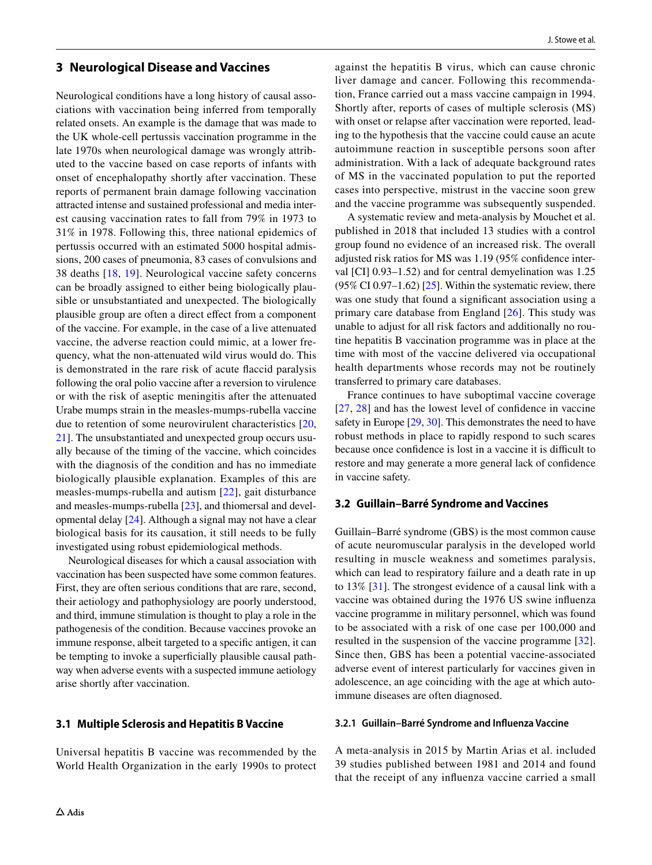### **3 Neurological Disease and Vaccines**

Neurological conditions have a long history of causal associations with vaccination being inferred from temporally related onsets. An example is the damage that was made to the UK whole-cell pertussis vaccination programme in the late 1970s when neurological damage was wrongly attributed to the vaccine based on case reports of infants with onset of encephalopathy shortly after vaccination. These reports of permanent brain damage following vaccination attracted intense and sustained professional and media interest causing vaccination rates to fall from 79% in 1973 to 31% in 1978. Following this, three national epidemics of pertussis occurred with an estimated 5000 hospital admissions, 200 cases of pneumonia, 83 cases of convulsions and 38 deaths [[18,](#page-6-14) [19\]](#page-6-15). Neurological vaccine safety concerns can be broadly assigned to either being biologically plausible or unsubstantiated and unexpected. The biologically plausible group are often a direct efect from a component of the vaccine. For example, in the case of a live attenuated vaccine, the adverse reaction could mimic, at a lower frequency, what the non-attenuated wild virus would do. This is demonstrated in the rare risk of acute faccid paralysis following the oral polio vaccine after a reversion to virulence or with the risk of aseptic meningitis after the attenuated Urabe mumps strain in the measles-mumps-rubella vaccine due to retention of some neurovirulent characteristics [\[20,](#page-6-16) [21](#page-6-17)]. The unsubstantiated and unexpected group occurs usually because of the timing of the vaccine, which coincides with the diagnosis of the condition and has no immediate biologically plausible explanation. Examples of this are measles-mumps-rubella and autism [[22](#page-6-18)], gait disturbance and measles-mumps-rubella [[23\]](#page-6-19), and thiomersal and developmental delay [\[24](#page-6-20)]. Although a signal may not have a clear biological basis for its causation, it still needs to be fully investigated using robust epidemiological methods.

Neurological diseases for which a causal association with vaccination has been suspected have some common features. First, they are often serious conditions that are rare, second, their aetiology and pathophysiology are poorly understood, and third, immune stimulation is thought to play a role in the pathogenesis of the condition. Because vaccines provoke an immune response, albeit targeted to a specific antigen, it can be tempting to invoke a superficially plausible causal pathway when adverse events with a suspected immune aetiology arise shortly after vaccination.

#### **3.1 Multiple Sclerosis and Hepatitis B Vaccine**

Universal hepatitis B vaccine was recommended by the World Health Organization in the early 1990s to protect

against the hepatitis B virus, which can cause chronic liver damage and cancer. Following this recommendation, France carried out a mass vaccine campaign in 1994. Shortly after, reports of cases of multiple sclerosis (MS) with onset or relapse after vaccination were reported, leading to the hypothesis that the vaccine could cause an acute autoimmune reaction in susceptible persons soon after administration. With a lack of adequate background rates of MS in the vaccinated population to put the reported cases into perspective, mistrust in the vaccine soon grew and the vaccine programme was subsequently suspended.

A systematic review and meta-analysis by Mouchet et al. published in 2018 that included 13 studies with a control group found no evidence of an increased risk. The overall adjusted risk ratios for MS was 1.19 (95% confdence interval [CI] 0.93–1.52) and for central demyelination was 1.25  $(95\% \text{ CI } 0.97-1.62)$  [\[25\]](#page-6-21). Within the systematic review, there was one study that found a signifcant association using a primary care database from England [\[26\]](#page-6-22). This study was unable to adjust for all risk factors and additionally no routine hepatitis B vaccination programme was in place at the time with most of the vaccine delivered via occupational health departments whose records may not be routinely transferred to primary care databases.

France continues to have suboptimal vaccine coverage [[27,](#page-6-23) [28\]](#page-6-24) and has the lowest level of confidence in vaccine safety in Europe [\[29](#page-6-25), [30](#page-6-26)]. This demonstrates the need to have robust methods in place to rapidly respond to such scares because once confidence is lost in a vaccine it is difficult to restore and may generate a more general lack of confdence in vaccine safety.

#### **3.2 Guillain–Barré Syndrome and Vaccines**

Guillain–Barré syndrome (GBS) is the most common cause of acute neuromuscular paralysis in the developed world resulting in muscle weakness and sometimes paralysis, which can lead to respiratory failure and a death rate in up to 13% [\[31](#page-6-27)]. The strongest evidence of a causal link with a vaccine was obtained during the 1976 US swine infuenza vaccine programme in military personnel, which was found to be associated with a risk of one case per 100,000 and resulted in the suspension of the vaccine programme [\[32](#page-6-28)]. Since then, GBS has been a potential vaccine-associated adverse event of interest particularly for vaccines given in adolescence, an age coinciding with the age at which autoimmune diseases are often diagnosed.

#### **3.2.1 Guillain–Barré Syndrome and Infuenza Vaccine**

A meta-analysis in 2015 by Martin Arias et al. included 39 studies published between 1981 and 2014 and found that the receipt of any infuenza vaccine carried a small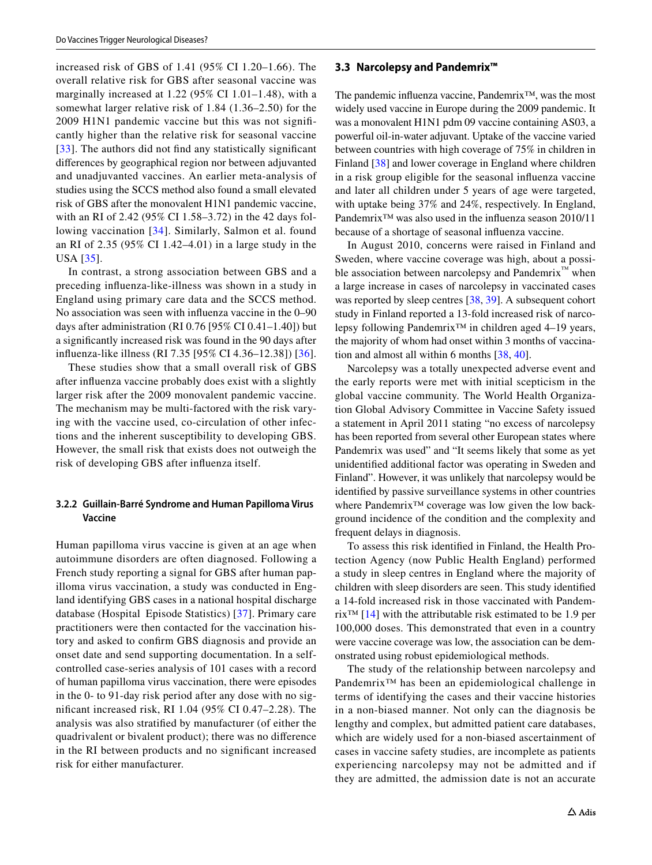increased risk of GBS of 1.41 (95% CI 1.20–1.66). The overall relative risk for GBS after seasonal vaccine was marginally increased at 1.22 (95% CI 1.01–1.48), with a somewhat larger relative risk of 1.84 (1.36–2.50) for the 2009 H1N1 pandemic vaccine but this was not signifcantly higher than the relative risk for seasonal vaccine [[33\]](#page-6-29). The authors did not find any statistically significant diferences by geographical region nor between adjuvanted and unadjuvanted vaccines. An earlier meta-analysis of studies using the SCCS method also found a small elevated risk of GBS after the monovalent H1N1 pandemic vaccine, with an RI of 2.42 (95% CI 1.58–3.72) in the 42 days following vaccination [\[34](#page-6-30)]. Similarly, Salmon et al. found an RI of 2.35 (95% CI 1.42–4.01) in a large study in the USA [\[35\]](#page-6-31).

In contrast, a strong association between GBS and a preceding infuenza-like-illness was shown in a study in England using primary care data and the SCCS method. No association was seen with infuenza vaccine in the 0–90 days after administration (RI 0.76 [95% CI 0.41–1.40]) but a signifcantly increased risk was found in the 90 days after infuenza-like illness (RI 7.35 [95% CI 4.36–12.38]) [[36](#page-6-32)].

These studies show that a small overall risk of GBS after infuenza vaccine probably does exist with a slightly larger risk after the 2009 monovalent pandemic vaccine. The mechanism may be multi-factored with the risk varying with the vaccine used, co-circulation of other infections and the inherent susceptibility to developing GBS. However, the small risk that exists does not outweigh the risk of developing GBS after infuenza itself.

#### **3.2.2 Guillain‑Barré Syndrome and Human Papilloma Virus Vaccine**

Human papilloma virus vaccine is given at an age when autoimmune disorders are often diagnosed. Following a French study reporting a signal for GBS after human papilloma virus vaccination, a study was conducted in England identifying GBS cases in a national hospital discharge database (Hospital Episode Statistics) [[37\]](#page-7-0). Primary care practitioners were then contacted for the vaccination history and asked to confrm GBS diagnosis and provide an onset date and send supporting documentation. In a selfcontrolled case-series analysis of 101 cases with a record of human papilloma virus vaccination, there were episodes in the 0- to 91-day risk period after any dose with no signifcant increased risk, RI 1.04 (95% CI 0.47–2.28). The analysis was also stratifed by manufacturer (of either the quadrivalent or bivalent product); there was no diference in the RI between products and no signifcant increased risk for either manufacturer.

#### **3.3 Narcolepsy and Pandemrix™**

The pandemic infuenza vaccine, Pandemrix™, was the most widely used vaccine in Europe during the 2009 pandemic. It was a monovalent H1N1 pdm 09 vaccine containing AS03, a powerful oil-in-water adjuvant. Uptake of the vaccine varied between countries with high coverage of 75% in children in Finland [[38\]](#page-7-1) and lower coverage in England where children in a risk group eligible for the seasonal infuenza vaccine and later all children under 5 years of age were targeted, with uptake being 37% and 24%, respectively. In England, Pandemrix<sup>™</sup> was also used in the influenza season 2010/11 because of a shortage of seasonal infuenza vaccine.

In August 2010, concerns were raised in Finland and Sweden, where vaccine coverage was high, about a possible association between narcolepsy and Pandemrix<sup>™</sup> when a large increase in cases of narcolepsy in vaccinated cases was reported by sleep centres [[38,](#page-7-1) [39\]](#page-7-2). A subsequent cohort study in Finland reported a 13-fold increased risk of narcolepsy following Pandemrix™ in children aged 4–19 years, the majority of whom had onset within 3 months of vaccination and almost all within 6 months [[38,](#page-7-1) [40\]](#page-7-3).

Narcolepsy was a totally unexpected adverse event and the early reports were met with initial scepticism in the global vaccine community. The World Health Organization Global Advisory Committee in Vaccine Safety issued a statement in April 2011 stating "no excess of narcolepsy has been reported from several other European states where Pandemrix was used" and "It seems likely that some as yet unidentifed additional factor was operating in Sweden and Finland". However, it was unlikely that narcolepsy would be identifed by passive surveillance systems in other countries where Pandemrix<sup>™</sup> coverage was low given the low background incidence of the condition and the complexity and frequent delays in diagnosis.

To assess this risk identifed in Finland, the Health Protection Agency (now Public Health England) performed a study in sleep centres in England where the majority of children with sleep disorders are seen. This study identifed a 14-fold increased risk in those vaccinated with Pandemrix™ [\[14\]](#page-6-10) with the attributable risk estimated to be 1.9 per 100,000 doses. This demonstrated that even in a country were vaccine coverage was low, the association can be demonstrated using robust epidemiological methods.

The study of the relationship between narcolepsy and Pandemrix™ has been an epidemiological challenge in terms of identifying the cases and their vaccine histories in a non-biased manner. Not only can the diagnosis be lengthy and complex, but admitted patient care databases, which are widely used for a non-biased ascertainment of cases in vaccine safety studies, are incomplete as patients experiencing narcolepsy may not be admitted and if they are admitted, the admission date is not an accurate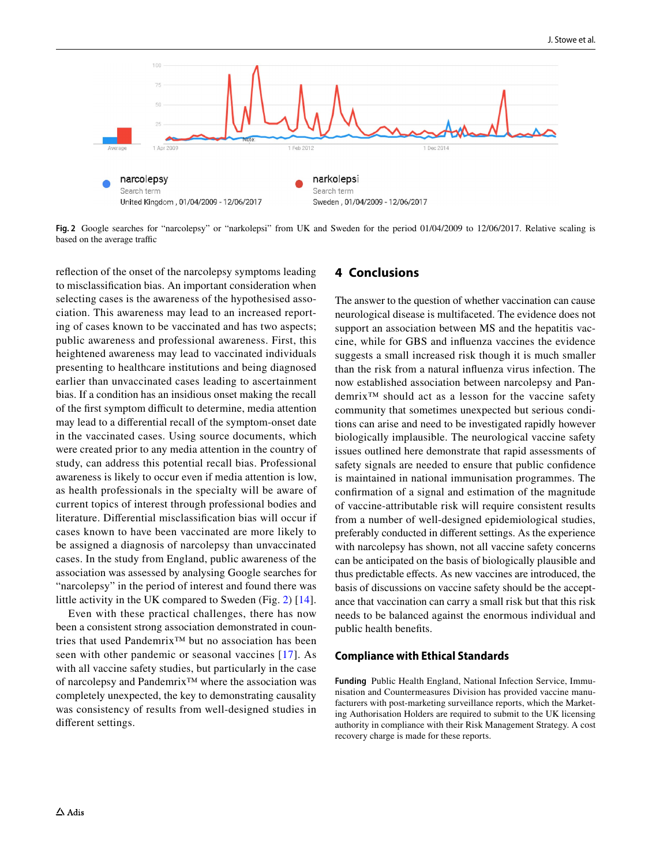

<span id="page-5-0"></span>**Fig. 2** Google searches for "narcolepsy" or "narkolepsi" from UK and Sweden for the period 01/04/2009 to 12/06/2017. Relative scaling is based on the average traffic

refection of the onset of the narcolepsy symptoms leading to misclassifcation bias. An important consideration when selecting cases is the awareness of the hypothesised association. This awareness may lead to an increased reporting of cases known to be vaccinated and has two aspects; public awareness and professional awareness. First, this heightened awareness may lead to vaccinated individuals presenting to healthcare institutions and being diagnosed earlier than unvaccinated cases leading to ascertainment bias. If a condition has an insidious onset making the recall of the first symptom difficult to determine, media attention may lead to a diferential recall of the symptom-onset date in the vaccinated cases. Using source documents, which were created prior to any media attention in the country of study, can address this potential recall bias. Professional awareness is likely to occur even if media attention is low, as health professionals in the specialty will be aware of current topics of interest through professional bodies and literature. Diferential misclassifcation bias will occur if cases known to have been vaccinated are more likely to be assigned a diagnosis of narcolepsy than unvaccinated cases. In the study from England, public awareness of the association was assessed by analysing Google searches for "narcolepsy" in the period of interest and found there was little activity in the UK compared to Sweden (Fig. [2\)](#page-5-0) [[14](#page-6-10)].

Even with these practical challenges, there has now been a consistent strong association demonstrated in countries that used Pandemrix™ but no association has been seen with other pandemic or seasonal vaccines [[17](#page-6-13)]. As with all vaccine safety studies, but particularly in the case of narcolepsy and Pandemrix™ where the association was completely unexpected, the key to demonstrating causality was consistency of results from well-designed studies in diferent settings.

## **4 Conclusions**

The answer to the question of whether vaccination can cause neurological disease is multifaceted. The evidence does not support an association between MS and the hepatitis vaccine, while for GBS and infuenza vaccines the evidence suggests a small increased risk though it is much smaller than the risk from a natural infuenza virus infection. The now established association between narcolepsy and Pandemrix™ should act as a lesson for the vaccine safety community that sometimes unexpected but serious conditions can arise and need to be investigated rapidly however biologically implausible. The neurological vaccine safety issues outlined here demonstrate that rapid assessments of safety signals are needed to ensure that public confdence is maintained in national immunisation programmes. The confrmation of a signal and estimation of the magnitude of vaccine-attributable risk will require consistent results from a number of well-designed epidemiological studies, preferably conducted in diferent settings. As the experience with narcolepsy has shown, not all vaccine safety concerns can be anticipated on the basis of biologically plausible and thus predictable efects. As new vaccines are introduced, the basis of discussions on vaccine safety should be the acceptance that vaccination can carry a small risk but that this risk needs to be balanced against the enormous individual and public health benefts.

#### **Compliance with Ethical Standards**

**Funding** Public Health England, National Infection Service, Immunisation and Countermeasures Division has provided vaccine manufacturers with post-marketing surveillance reports, which the Marketing Authorisation Holders are required to submit to the UK licensing authority in compliance with their Risk Management Strategy. A cost recovery charge is made for these reports.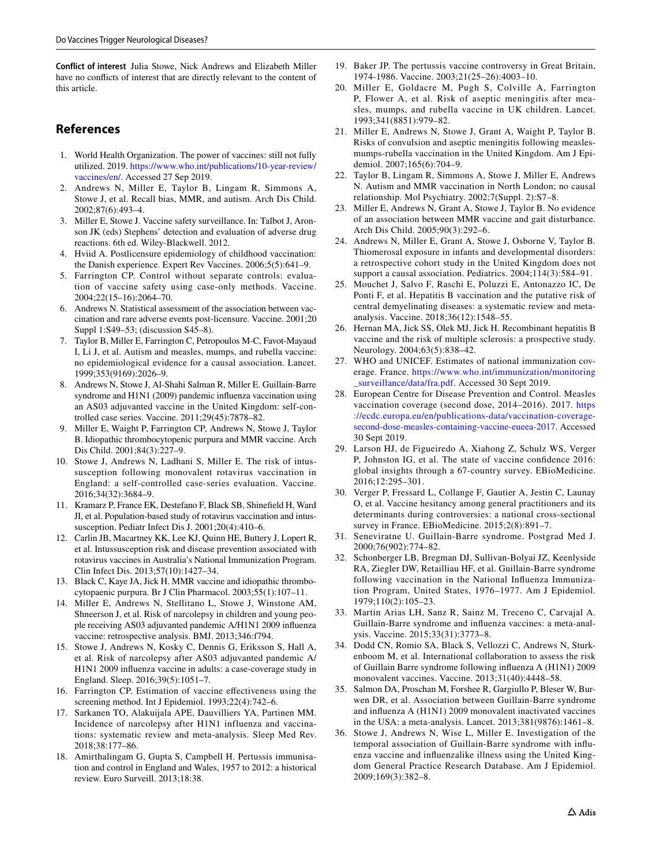**Conflict of interest** Julia Stowe, Nick Andrews and Elizabeth Miller have no conficts of interest that are directly relevant to the content of this article.

# **References**

- <span id="page-6-0"></span>1. World Health Organization. The power of vaccines: still not fully utilized. 2019. [https://www.who.int/publications/10-year-review/](https://www.who.int/publications/10-year-review/vaccines/en/) [vaccines/en/](https://www.who.int/publications/10-year-review/vaccines/en/). Accessed 27 Sep 2019.
- <span id="page-6-1"></span>2. Andrews N, Miller E, Taylor B, Lingam R, Simmons A, Stowe J, et al. Recall bias, MMR, and autism. Arch Dis Child. 2002;87(6):493–4.
- <span id="page-6-2"></span>3. Miller E, Stowe J. Vaccine safety surveillance. In: Talbot J, Aronson JK (eds) Stephens' detection and evaluation of adverse drug reactions. 6th ed. Wiley-Blackwell. 2012.
- <span id="page-6-3"></span>4. Hviid A. Postlicensure epidemiology of childhood vaccination: the Danish experience. Expert Rev Vaccines. 2006;5(5):641–9.
- <span id="page-6-4"></span>5. Farrington CP. Control without separate controls: evaluation of vaccine safety using case-only methods. Vaccine. 2004;22(15–16):2064–70.
- <span id="page-6-5"></span>6. Andrews N. Statistical assessment of the association between vaccination and rare adverse events post-licensure. Vaccine. 2001;20 Suppl 1:S49–53; (discussion S45–8).
- <span id="page-6-6"></span>7. Taylor B, Miller E, Farrington C, Petropoulos M-C, Favot-Mayaud I, Li J, et al. Autism and measles, mumps, and rubella vaccine: no epidemiological evidence for a causal association. Lancet. 1999;353(9169):2026–9.
- 8. Andrews N, Stowe J, Al-Shahi Salman R, Miller E. Guillain-Barre syndrome and H1N1 (2009) pandemic infuenza vaccination using an AS03 adjuvanted vaccine in the United Kingdom: self-controlled case series. Vaccine. 2011;29(45):7878–82.
- 9. Miller E, Waight P, Farrington CP, Andrews N, Stowe J, Taylor B. Idiopathic thrombocytopenic purpura and MMR vaccine. Arch Dis Child. 2001;84(3):227–9.
- <span id="page-6-7"></span>10. Stowe J, Andrews N, Ladhani S, Miller E. The risk of intussusception following monovalent rotavirus vaccination in England: a self-controlled case-series evaluation. Vaccine. 2016;34(32):3684–9.
- <span id="page-6-8"></span>11. Kramarz P, France EK, Destefano F, Black SB, Shinefeld H, Ward JI, et al. Population-based study of rotavirus vaccination and intussusception. Pediatr Infect Dis J. 2001;20(4):410–6.
- 12. Carlin JB, Macartney KK, Lee KJ, Quinn HE, Buttery J, Lopert R, et al. Intussusception risk and disease prevention associated with rotavirus vaccines in Australia's National Immunization Program. Clin Infect Dis. 2013;57(10):1427–34.
- <span id="page-6-9"></span>13. Black C, Kaye JA, Jick H. MMR vaccine and idiopathic thrombocytopaenic purpura. Br J Clin Pharmacol. 2003;55(1):107–11.
- <span id="page-6-10"></span>14. Miller E, Andrews N, Stellitano L, Stowe J, Winstone AM, Shneerson J, et al. Risk of narcolepsy in children and young people receiving AS03 adjuvanted pandemic A/H1N1 2009 infuenza vaccine: retrospective analysis. BMJ. 2013;346:f794.
- <span id="page-6-11"></span>15. Stowe J, Andrews N, Kosky C, Dennis G, Eriksson S, Hall A, et al. Risk of narcolepsy after AS03 adjuvanted pandemic A/ H1N1 2009 infuenza vaccine in adults: a case-coverage study in England. Sleep. 2016;39(5):1051–7.
- <span id="page-6-12"></span>16. Farrington CP. Estimation of vaccine efectiveness using the screening method. Int J Epidemiol. 1993;22(4):742–6.
- <span id="page-6-13"></span>17. Sarkanen TO, Alakuijala APE, Dauvilliers YA, Partinen MM. Incidence of narcolepsy after H1N1 influenza and vaccinations: systematic review and meta-analysis. Sleep Med Rev. 2018;38:177–86.
- <span id="page-6-14"></span>18. Amirthalingam G, Gupta S, Campbell H. Pertussis immunisation and control in England and Wales, 1957 to 2012: a historical review. Euro Surveill. 2013;18:38.
- <span id="page-6-15"></span>19. Baker JP. The pertussis vaccine controversy in Great Britain, 1974-1986. Vaccine. 2003;21(25–26):4003–10.
- <span id="page-6-16"></span>20. Miller E, Goldacre M, Pugh S, Colville A, Farrington P, Flower A, et al. Risk of aseptic meningitis after measles, mumps, and rubella vaccine in UK children. Lancet. 1993;341(8851):979–82.
- <span id="page-6-17"></span>21. Miller E, Andrews N, Stowe J, Grant A, Waight P, Taylor B. Risks of convulsion and aseptic meningitis following measlesmumps-rubella vaccination in the United Kingdom. Am J Epidemiol. 2007;165(6):704–9.
- <span id="page-6-18"></span>22. Taylor B, Lingam R, Simmons A, Stowe J, Miller E, Andrews N. Autism and MMR vaccination in North London; no causal relationship. Mol Psychiatry. 2002;7(Suppl. 2):S7–8.
- <span id="page-6-19"></span>23. Miller E, Andrews N, Grant A, Stowe J, Taylor B. No evidence of an association between MMR vaccine and gait disturbance. Arch Dis Child. 2005;90(3):292–6.
- <span id="page-6-20"></span>24. Andrews N, Miller E, Grant A, Stowe J, Osborne V, Taylor B. Thiomerosal exposure in infants and developmental disorders: a retrospective cohort study in the United Kingdom does not support a causal association. Pediatrics. 2004;114(3):584–91.
- <span id="page-6-21"></span>25. Mouchet J, Salvo F, Raschi E, Poluzzi E, Antonazzo IC, De Ponti F, et al. Hepatitis B vaccination and the putative risk of central demyelinating diseases: a systematic review and metaanalysis. Vaccine. 2018;36(12):1548–55.
- <span id="page-6-22"></span>26. Hernan MA, Jick SS, Olek MJ, Jick H. Recombinant hepatitis B vaccine and the risk of multiple sclerosis: a prospective study. Neurology. 2004;63(5):838–42.
- <span id="page-6-23"></span>27. WHO and UNICEF. Estimates of national immunization coverage. France. [https://www.who.int/immunization/monitoring](https://www.who.int/immunization/monitoring_surveillance/data/fra.pdf) [\\_surveillance/data/fra.pdf](https://www.who.int/immunization/monitoring_surveillance/data/fra.pdf). Accessed 30 Sept 2019.
- <span id="page-6-24"></span>28. European Centre for Disease Prevention and Control. Measles vaccination coverage (second dose, 2014–2016). 2017. [https](https://ecdc.europa.eu/en/publications-data/vaccination-coverage-second-dose-measles-containing-vaccine-eueea-2017) [://ecdc.europa.eu/en/publications-data/vaccination-coverage](https://ecdc.europa.eu/en/publications-data/vaccination-coverage-second-dose-measles-containing-vaccine-eueea-2017)[second-dose-measles-containing-vaccine-eueea-2017.](https://ecdc.europa.eu/en/publications-data/vaccination-coverage-second-dose-measles-containing-vaccine-eueea-2017) Accessed 30 Sept 2019.
- <span id="page-6-25"></span>29. Larson HJ, de Figueiredo A, Xiahong Z, Schulz WS, Verger P, Johnston IG, et al. The state of vaccine confdence 2016: global insights through a 67-country survey. EBioMedicine. 2016;12:295–301.
- <span id="page-6-26"></span>30. Verger P, Fressard L, Collange F, Gautier A, Jestin C, Launay O, et al. Vaccine hesitancy among general practitioners and its determinants during controversies: a national cross-sectional survey in France. EBioMedicine. 2015;2(8):891-7.
- <span id="page-6-27"></span>31. Seneviratne U. Guillain-Barre syndrome. Postgrad Med J. 2000;76(902):774–82.
- <span id="page-6-28"></span>32. Schonberger LB, Bregman DJ, Sullivan-Bolyai JZ, Keenlyside RA, Ziegler DW, Retailliau HF, et al. Guillain-Barre syndrome following vaccination in the National Infuenza Immunization Program, United States, 1976–1977. Am J Epidemiol. 1979;110(2):105–23.
- <span id="page-6-29"></span>33. Martin Arias LH, Sanz R, Sainz M, Treceno C, Carvajal A. Guillain-Barre syndrome and infuenza vaccines: a meta-analysis. Vaccine. 2015;33(31):3773–8.
- <span id="page-6-30"></span>34. Dodd CN, Romio SA, Black S, Vellozzi C, Andrews N, Sturkenboom M, et al. International collaboration to assess the risk of Guillain Barre syndrome following infuenza A (H1N1) 2009 monovalent vaccines. Vaccine. 2013;31(40):4448–58.
- <span id="page-6-31"></span>35. Salmon DA, Proschan M, Forshee R, Gargiullo P, Bleser W, Burwen DR, et al. Association between Guillain-Barre syndrome and infuenza A (H1N1) 2009 monovalent inactivated vaccines in the USA: a meta-analysis. Lancet. 2013;381(9876):1461–8.
- <span id="page-6-32"></span>36. Stowe J, Andrews N, Wise L, Miller E. Investigation of the temporal association of Guillain-Barre syndrome with infuenza vaccine and infuenzalike illness using the United Kingdom General Practice Research Database. Am J Epidemiol. 2009;169(3):382–8.